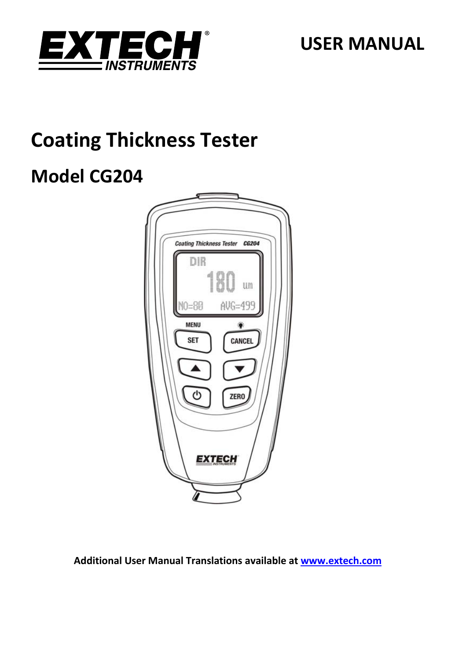

**USER MANUAL**

# **Coating Thickness Tester**

# **Model CG204**



**Additional User Manual Translations available at www.extech.com**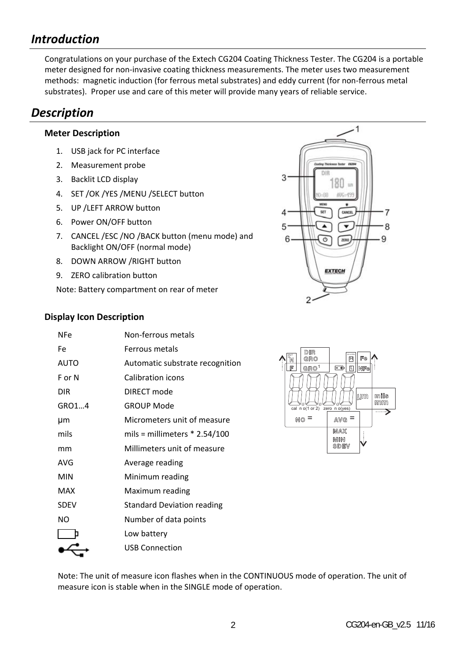# *Introduction*

Congratulations on your purchase of the Extech CG204 Coating Thickness Tester. The CG204 is a portable meter designed for non‐invasive coating thickness measurements. The meter uses two measurement methods: magnetic induction (for ferrous metal substrates) and eddy current (for non‐ferrous metal substrates). Proper use and care of this meter will provide many years of reliable service.

# *Description*

## **Meter Description**

- 1. USB jack for PC interface
- 2. Measurement probe
- 3. Backlit LCD display
- 4. SET /OK /YES /MENU /SELECT button
- 5. UP /LEFT ARROW button
- 6. Power ON/OFF button
- 7. CANCEL /ESC /NO /BACK button (menu mode) and Backlight ON/OFF (normal mode)
- 8. DOWN ARROW /RIGHT button
- 9. ZERO calibration button

Note: Battery compartment on rear of meter



### **Display Icon Description**

| NFe         | Non-ferrous metals                |
|-------------|-----------------------------------|
| Fe          | Ferrous metals                    |
| AUTO        | Automatic substrate recognition   |
| $F \cap N$  | Calibration icons                 |
| DIR         | DIRECT mode                       |
| GRO14       | <b>GROUP Mode</b>                 |
| μm          | Micrometers unit of measure       |
| mils        | mils = millimeters $*$ 2.54/100   |
| mm          | Millimeters unit of measure       |
| AVG         | Average reading                   |
| MIN         | Minimum reading                   |
| MAX         | Maximum reading                   |
| <b>SDEV</b> | <b>Standard Deviation reading</b> |
| NΟ          | Number of data points             |
|             | Low battery                       |
|             | <b>USB Connection</b>             |
|             |                                   |



Note: The unit of measure icon flashes when in the CONTINUOUS mode of operation. The unit of measure icon is stable when in the SINGLE mode of operation.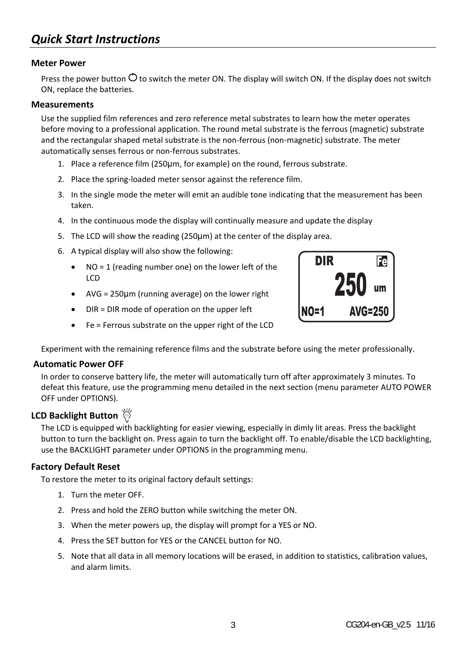# *Quick Start Instructions*

#### **Meter Power**

Press the power button  $\circ$  to switch the meter ON. The display will switch ON. If the display does not switch ON, replace the batteries.

#### **Measurements**

Use the supplied film references and zero reference metal substrates to learn how the meter operates before moving to a professional application. The round metal substrate is the ferrous (magnetic) substrate and the rectangular shaped metal substrate is the non-ferrous (non-magnetic) substrate. The meter automatically senses ferrous or non‐ferrous substrates.

- 1. Place a reference film (250µm, for example) on the round, ferrous substrate.
- 2. Place the spring‐loaded meter sensor against the reference film.
- 3. In the single mode the meter will emit an audible tone indicating that the measurement has been taken.
- 4. In the continuous mode the display will continually measure and update the display
- 5. The LCD will show the reading (250µm) at the center of the display area.
- 6. A typical display will also show the following:
	- NO = 1 (reading number one) on the lower left of the LCD
	- AVG = 250µm (running average) on the lower right
	- DIR = DIR mode of operation on the upper left
	- Fe = Ferrous substrate on the upper right of the LCD

Experiment with the remaining reference films and the substrate before using the meter professionally.

#### **Automatic Power OFF**

In order to conserve battery life, the meter will automatically turn off after approximately 3 minutes. To defeat this feature, use the programming menu detailed in the next section (menu parameter AUTO POWER OFF under OPTIONS).

### **LCD Backlight Button**

The LCD is equipped with backlighting for easier viewing, especially in dimly lit areas. Press the backlight button to turn the backlight on. Press again to turn the backlight off. To enable/disable the LCD backlighting, use the BACKLIGHT parameter under OPTIONS in the programming menu.

### **Factory Default Reset**

To restore the meter to its original factory default settings:

- 1. Turn the meter OFF.
- 2. Press and hold the ZERO button while switching the meter ON.
- 3. When the meter powers up, the display will prompt for a YES or NO.
- 4. Press the SET button for YES or the CANCEL button for NO.
- 5. Note that all data in all memory locations will be erased, in addition to statistics, calibration values, and alarm limits.

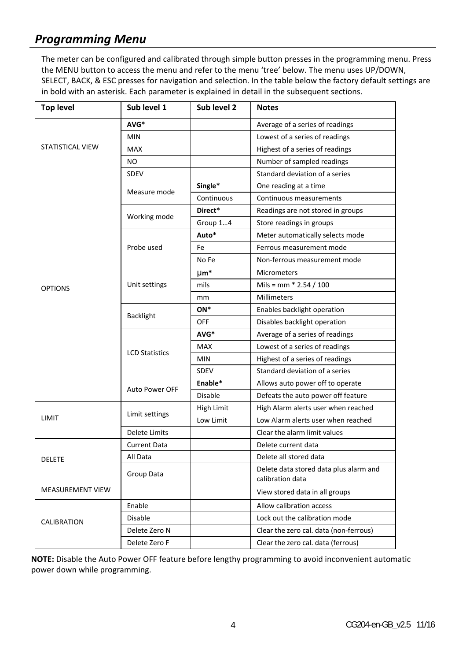# *Programming Menu*

The meter can be configured and calibrated through simple button presses in the programming menu. Press the MENU button to access the menu and refer to the menu 'tree' below. The menu uses UP/DOWN, SELECT, BACK, & ESC presses for navigation and selection. In the table below the factory default settings are in bold with an asterisk. Each parameter is explained in detail in the subsequent sections.

| <b>Top level</b>        | Sub level 1           | Sub level 2 | <b>Notes</b>                                               |
|-------------------------|-----------------------|-------------|------------------------------------------------------------|
|                         | AVG*                  |             | Average of a series of readings                            |
|                         | <b>MIN</b>            |             | Lowest of a series of readings                             |
| STATISTICAL VIEW        | <b>MAX</b>            |             | Highest of a series of readings                            |
|                         | NO.                   |             | Number of sampled readings                                 |
|                         | <b>SDEV</b>           |             | Standard deviation of a series                             |
|                         | Measure mode          | Single*     | One reading at a time                                      |
|                         |                       | Continuous  | Continuous measurements                                    |
|                         | Working mode          | Direct*     | Readings are not stored in groups                          |
|                         |                       | Group 14    | Store readings in groups                                   |
|                         | Probe used            | Auto*       | Meter automatically selects mode                           |
|                         |                       | Fe          | Ferrous measurement mode                                   |
|                         |                       | No Fe       | Non-ferrous measurement mode                               |
| <b>OPTIONS</b>          | Unit settings         | $µm*$       | <b>Micrometers</b>                                         |
|                         |                       | mils        | Mils = mm $*$ 2.54 / 100                                   |
|                         |                       | mm          | Millimeters                                                |
|                         |                       | ON*         | Enables backlight operation                                |
|                         | <b>Backlight</b>      | OFF         | Disables backlight operation                               |
|                         | <b>LCD Statistics</b> | AVG*        | Average of a series of readings                            |
|                         |                       | <b>MAX</b>  | Lowest of a series of readings                             |
|                         |                       | <b>MIN</b>  | Highest of a series of readings                            |
|                         |                       | SDEV        | Standard deviation of a series                             |
|                         | <b>Auto Power OFF</b> | Enable*     | Allows auto power off to operate                           |
|                         |                       | Disable     | Defeats the auto power off feature                         |
| LIMIT                   | Limit settings        | High Limit  | High Alarm alerts user when reached                        |
|                         |                       | Low Limit   | Low Alarm alerts user when reached                         |
|                         | <b>Delete Limits</b>  |             | Clear the alarm limit values                               |
| <b>DELETE</b>           | <b>Current Data</b>   |             | Delete current data                                        |
|                         | All Data              |             | Delete all stored data                                     |
|                         | Group Data            |             | Delete data stored data plus alarm and<br>calibration data |
| <b>MEASUREMENT VIEW</b> |                       |             | View stored data in all groups                             |
| <b>CALIBRATION</b>      | Enable                |             | Allow calibration access                                   |
|                         | Disable               |             | Lock out the calibration mode                              |
|                         | Delete Zero N         |             | Clear the zero cal. data (non-ferrous)                     |
|                         | Delete Zero F         |             | Clear the zero cal. data (ferrous)                         |

**NOTE:** Disable the Auto Power OFF feature before lengthy programming to avoid inconvenient automatic power down while programming.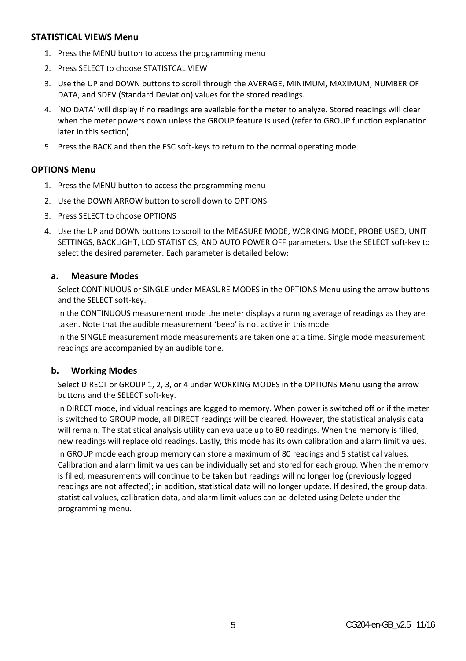### **STATISTICAL VIEWS Menu**

- 1. Press the MENU button to access the programming menu
- 2. Press SELECT to choose STATISTCAL VIEW
- 3. Use the UP and DOWN buttons to scroll through the AVERAGE, MINIMUM, MAXIMUM, NUMBER OF DATA, and SDEV (Standard Deviation) values for the stored readings.
- 4. 'NO DATA' will display if no readings are available for the meter to analyze. Stored readings will clear when the meter powers down unless the GROUP feature is used (refer to GROUP function explanation later in this section).
- 5. Press the BACK and then the ESC soft-keys to return to the normal operating mode.

#### **OPTIONS Menu**

- 1. Press the MENU button to access the programming menu
- 2. Use the DOWN ARROW button to scroll down to OPTIONS
- 3. Press SELECT to choose OPTIONS
- 4. Use the UP and DOWN buttons to scroll to the MEASURE MODE, WORKING MODE, PROBE USED, UNIT SETTINGS, BACKLIGHT, LCD STATISTICS, AND AUTO POWER OFF parameters. Use the SELECT soft‐key to select the desired parameter. Each parameter is detailed below:

#### **a. Measure Modes**

Select CONTINUOUS or SINGLE under MEASURE MODES in the OPTIONS Menu using the arrow buttons and the SELECT soft‐key.

In the CONTINUOUS measurement mode the meter displays a running average of readings as they are taken. Note that the audible measurement 'beep' is not active in this mode.

In the SINGLE measurement mode measurements are taken one at a time. Single mode measurement readings are accompanied by an audible tone.

#### **b. Working Modes**

Select DIRECT or GROUP 1, 2, 3, or 4 under WORKING MODES in the OPTIONS Menu using the arrow buttons and the SELECT soft‐key.

In DIRECT mode, individual readings are logged to memory. When power is switched off or if the meter is switched to GROUP mode, all DIRECT readings will be cleared. However, the statistical analysis data will remain. The statistical analysis utility can evaluate up to 80 readings. When the memory is filled, new readings will replace old readings. Lastly, this mode has its own calibration and alarm limit values.

In GROUP mode each group memory can store a maximum of 80 readings and 5 statistical values. Calibration and alarm limit values can be individually set and stored for each group. When the memory is filled, measurements will continue to be taken but readings will no longer log (previously logged readings are not affected); in addition, statistical data will no longer update. If desired, the group data, statistical values, calibration data, and alarm limit values can be deleted using Delete under the programming menu.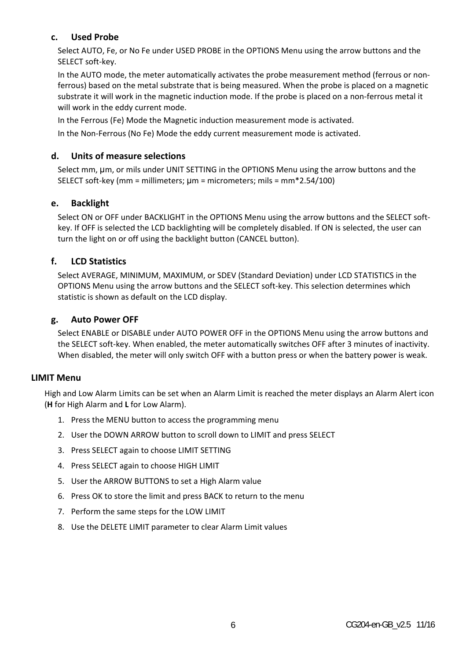### **c. Used Probe**

Select AUTO, Fe, or No Fe under USED PROBE in the OPTIONS Menu using the arrow buttons and the SELECT soft‐key.

In the AUTO mode, the meter automatically activates the probe measurement method (ferrous or non‐ ferrous) based on the metal substrate that is being measured. When the probe is placed on a magnetic substrate it will work in the magnetic induction mode. If the probe is placed on a non‐ferrous metal it will work in the eddy current mode.

In the Ferrous (Fe) Mode the Magnetic induction measurement mode is activated.

In the Non‐Ferrous (No Fe) Mode the eddy current measurement mode is activated.

#### **d. Units of measure selections**

Select mm, um, or mils under UNIT SETTING in the OPTIONS Menu using the arrow buttons and the SELECT soft‐key (mm = millimeters; µm = micrometers; mils = mm\*2.54/100)

#### **e. Backlight**

Select ON or OFF under BACKLIGHT in the OPTIONS Menu using the arrow buttons and the SELECT softkey. If OFF is selected the LCD backlighting will be completely disabled. If ON is selected, the user can turn the light on or off using the backlight button (CANCEL button).

### **f. LCD Statistics**

Select AVERAGE, MINIMUM, MAXIMUM, or SDEV (Standard Deviation) under LCD STATISTICS in the OPTIONS Menu using the arrow buttons and the SELECT soft‐key. This selection determines which statistic is shown as default on the LCD display.

#### **g. Auto Power OFF**

Select ENABLE or DISABLE under AUTO POWER OFF in the OPTIONS Menu using the arrow buttons and the SELECT soft-key. When enabled, the meter automatically switches OFF after 3 minutes of inactivity. When disabled, the meter will only switch OFF with a button press or when the battery power is weak.

#### **LIMIT Menu**

High and Low Alarm Limits can be set when an Alarm Limit is reached the meter displays an Alarm Alert icon (**H** for High Alarm and **L** for Low Alarm).

- 1. Press the MENU button to access the programming menu
- 2. User the DOWN ARROW button to scroll down to LIMIT and press SELECT
- 3. Press SELECT again to choose LIMIT SETTING
- 4. Press SELECT again to choose HIGH LIMIT
- 5. User the ARROW BUTTONS to set a High Alarm value
- 6. Press OK to store the limit and press BACK to return to the menu
- 7. Perform the same steps for the LOW LIMIT
- 8. Use the DELETE LIMIT parameter to clear Alarm Limit values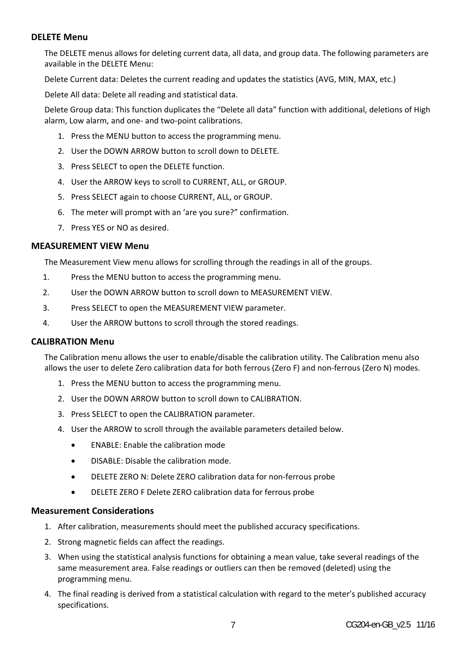#### **DELETE Menu**

The DELETE menus allows for deleting current data, all data, and group data. The following parameters are available in the DELETE Menu:

Delete Current data: Deletes the current reading and updates the statistics (AVG, MIN, MAX, etc.)

Delete All data: Delete all reading and statistical data.

Delete Group data: This function duplicates the "Delete all data" function with additional, deletions of High alarm, Low alarm, and one‐ and two‐point calibrations.

- 1. Press the MENU button to access the programming menu.
- 2. User the DOWN ARROW button to scroll down to DELETE.
- 3. Press SELECT to open the DELETE function.
- 4. User the ARROW keys to scroll to CURRENT, ALL, or GROUP.
- 5. Press SELECT again to choose CURRENT, ALL, or GROUP.
- 6. The meter will prompt with an 'are you sure?" confirmation.
- 7. Press YES or NO as desired.

#### **MEASUREMENT VIEW Menu**

The Measurement View menu allows for scrolling through the readings in all of the groups.

- 1. Press the MENU button to access the programming menu.
- 2. User the DOWN ARROW button to scroll down to MEASUREMENT VIEW.
- 3. Press SELECT to open the MEASUREMENT VIEW parameter.
- 4. User the ARROW buttons to scroll through the stored readings.

### **CALIBRATION Menu**

The Calibration menu allows the user to enable/disable the calibration utility. The Calibration menu also allows the user to delete Zero calibration data for both ferrous (Zero F) and non‐ferrous (Zero N) modes.

- 1. Press the MENU button to access the programming menu.
- 2. User the DOWN ARROW button to scroll down to CALIBRATION.
- 3. Press SELECT to open the CALIBRATION parameter.
- 4. User the ARROW to scroll through the available parameters detailed below.
	- ENABLE: Enable the calibration mode
	- DISABLE: Disable the calibration mode.
	- DELETE ZERO N: Delete ZERO calibration data for non-ferrous probe
	- DELETE ZERO F Delete ZERO calibration data for ferrous probe

#### **Measurement Considerations**

- 1. After calibration, measurements should meet the published accuracy specifications.
- 2. Strong magnetic fields can affect the readings.
- 3. When using the statistical analysis functions for obtaining a mean value, take several readings of the same measurement area. False readings or outliers can then be removed (deleted) using the programming menu.
- 4. The final reading is derived from a statistical calculation with regard to the meter's published accuracy specifications.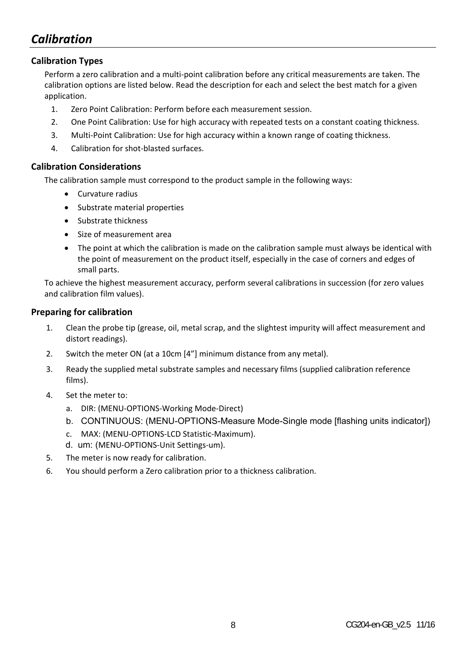# *Calibration*

### **Calibration Types**

Perform a zero calibration and a multi‐point calibration before any critical measurements are taken. The calibration options are listed below. Read the description for each and select the best match for a given application.

- 1. Zero Point Calibration: Perform before each measurement session.
- 2. One Point Calibration: Use for high accuracy with repeated tests on a constant coating thickness.
- 3. Multi‐Point Calibration: Use for high accuracy within a known range of coating thickness.
- 4. Calibration for shot‐blasted surfaces.

### **Calibration Considerations**

The calibration sample must correspond to the product sample in the following ways:

- Curvature radius
- Substrate material properties
- Substrate thickness
- Size of measurement area
- The point at which the calibration is made on the calibration sample must always be identical with the point of measurement on the product itself, especially in the case of corners and edges of small parts.

To achieve the highest measurement accuracy, perform several calibrations in succession (for zero values and calibration film values).

#### **Preparing for calibration**

- 1. Clean the probe tip (grease, oil, metal scrap, and the slightest impurity will affect measurement and distort readings).
- 2. Switch the meter ON (at a 10cm [4"] minimum distance from any metal).
- 3. Ready the supplied metal substrate samples and necessary films (supplied calibration reference films).
- 4. Set the meter to:
	- a. DIR: (MENU‐OPTIONS‐Working Mode‐Direct)
	- b. CONTINUOUS: (MENU-OPTIONS-Measure Mode-Single mode [flashing units indicator])
	- c. MAX: (MENU‐OPTIONS‐LCD Statistic‐Maximum).
	- d. um: (MENU‐OPTIONS‐Unit Settings‐um).
- 5. The meter is now ready for calibration.
- 6. You should perform a Zero calibration prior to a thickness calibration.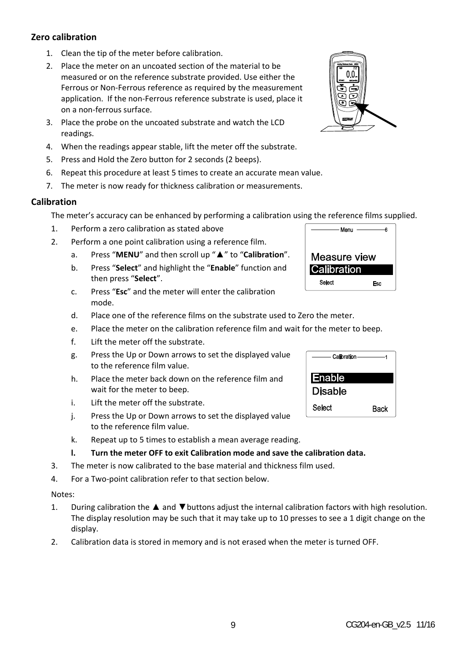#### **Zero calibration**

- 1. Clean the tip of the meter before calibration.
- 2. Place the meter on an uncoated section of the material to be measured or on the reference substrate provided. Use either the Ferrous or Non‐Ferrous reference as required by the measurement application. If the non‐Ferrous reference substrate is used, place it on a non‐ferrous surface.
- 3. Place the probe on the uncoated substrate and watch the LCD readings.
- 4. When the readings appear stable, lift the meter off the substrate.
- 5. Press and Hold the Zero button for 2 seconds (2 beeps).
- 6. Repeat this procedure at least 5 times to create an accurate mean value.
- 7. The meter is now ready for thickness calibration or measurements.

#### **Calibration**

The meter's accuracy can be enhanced by performing a calibration using the reference films supplied.

- 1. Perform a zero calibration as stated above
- 2. Perform a one point calibration using a reference film.
	- a. Press "**MENU**" and then scroll up "▲" to "**Calibration**".
	- b. Press "**Select**" and highlight the "**Enable**" function and then press "**Select**".
	- c. Press "**Esc**" and the meter will enter the calibration mode.
	- d. Place one of the reference films on the substrate used to Zero the meter.
	- e. Place the meter on the calibration reference film and wait for the meter to beep.
	- f. Lift the meter off the substrate.
	- g. Press the Up or Down arrows to set the displayed value to the reference film value.
	- h. Place the meter back down on the reference film and wait for the meter to beep.
	- i. Lift the meter off the substrate.
	- j. Press the Up or Down arrows to set the displayed value to the reference film value.
	- k. Repeat up to 5 times to establish a mean average reading.
	- **l. Turn the meter OFF to exit Calibration mode and save the calibration data.**
- 3. The meter is now calibrated to the base material and thickness film used.
- 4. For a Two‐point calibration refer to that section below.

#### Notes:

- 1. During calibration the ▲ and ▼buttons adjust the internal calibration factors with high resolution. The display resolution may be such that it may take up to 10 presses to see a 1 digit change on the display.
- 2. Calibration data is stored in memory and is not erased when the meter is turned OFF.





Enable **Disable Select** 

Esc

**Back** 

Measure view Calibration Select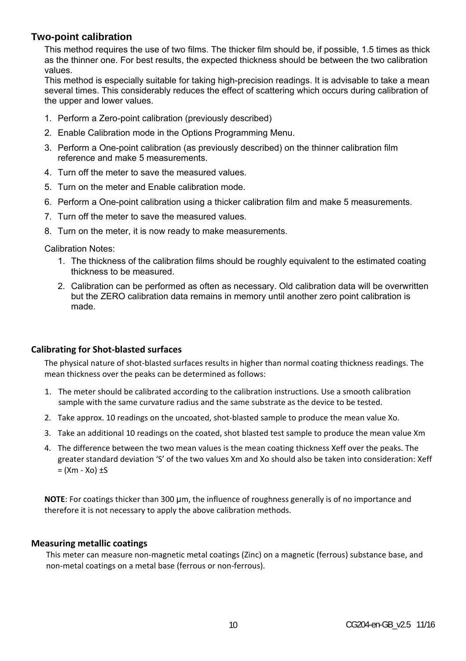### **Two-point calibration**

This method requires the use of two films. The thicker film should be, if possible, 1.5 times as thick as the thinner one. For best results, the expected thickness should be between the two calibration values.

This method is especially suitable for taking high-precision readings. It is advisable to take a mean several times. This considerably reduces the effect of scattering which occurs during calibration of the upper and lower values.

- 1. Perform a Zero-point calibration (previously described)
- 2. Enable Calibration mode in the Options Programming Menu.
- 3. Perform a One-point calibration (as previously described) on the thinner calibration film reference and make 5 measurements.
- 4. Turn off the meter to save the measured values.
- 5. Turn on the meter and Enable calibration mode.
- 6. Perform a One-point calibration using a thicker calibration film and make 5 measurements.
- 7. Turn off the meter to save the measured values.
- 8. Turn on the meter, it is now ready to make measurements.

Calibration Notes:

- 1. The thickness of the calibration films should be roughly equivalent to the estimated coating thickness to be measured.
- 2. Calibration can be performed as often as necessary. Old calibration data will be overwritten but the ZERO calibration data remains in memory until another zero point calibration is made.

#### **Calibrating for Shot‐blasted surfaces**

The physical nature of shot-blasted surfaces results in higher than normal coating thickness readings. The mean thickness over the peaks can be determined as follows:

- 1. The meter should be calibrated according to the calibration instructions. Use a smooth calibration sample with the same curvature radius and the same substrate as the device to be tested.
- 2. Take approx. 10 readings on the uncoated, shot-blasted sample to produce the mean value Xo.
- 3. Take an additional 10 readings on the coated, shot blasted test sample to produce the mean value Xm
- 4. The difference between the two mean values is the mean coating thickness Xeff over the peaks. The greater standard deviation 'S' of the two values Xm and Xo should also be taken into consideration: Xeff  $=$   $(Xm - Xo) \pm S$

**NOTE**: For coatings thicker than 300 µm, the influence of roughness generally is of no importance and therefore it is not necessary to apply the above calibration methods.

#### **Measuring metallic coatings**

This meter can measure non‐magnetic metal coatings (Zinc) on a magnetic (ferrous) substance base, and non‐metal coatings on a metal base (ferrous or non‐ferrous).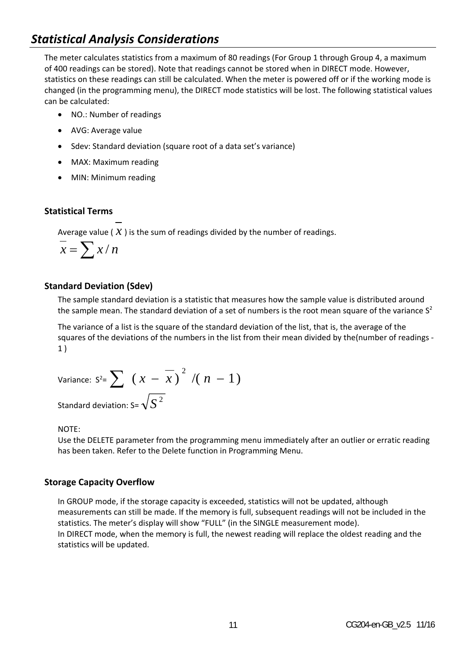# *Statistical Analysis Considerations*

The meter calculates statistics from a maximum of 80 readings (For Group 1 through Group 4, a maximum of 400 readings can be stored). Note that readings cannot be stored when in DIRECT mode. However, statistics on these readings can still be calculated. When the meter is powered off or if the working mode is changed (in the programming menu), the DIRECT mode statistics will be lost. The following statistical values can be calculated:

- NO.: Number of readings
- AVG: Average value
- Sdev: Standard deviation (square root of a data set's variance)
- MAX: Maximum reading
- MIN: Minimum reading

### **Statistical Terms**

Average value ( $\hat{x}$ ) is the sum of readings divided by the number of readings.

$$
\overline{x} = \sum x / n
$$

#### **Standard Deviation (Sdev)**

The sample standard deviation is a statistic that measures how the sample value is distributed around the sample mean. The standard deviation of a set of numbers is the root mean square of the variance  $S^2$ 

The variance of a list is the square of the standard deviation of the list, that is, the average of the squares of the deviations of the numbers in the list from their mean divided by the(number of readings -1 )

Variance: 
$$
S^2 = \sum (x - \overline{x})^2 / (n - 1)
$$
  
Standard deviation:  $S = \sqrt{S^2}$ 

#### NOTE:

Use the DELETE parameter from the programming menu immediately after an outlier or erratic reading has been taken. Refer to the Delete function in Programming Menu.

#### **Storage Capacity Overflow**

In GROUP mode, if the storage capacity is exceeded, statistics will not be updated, although measurements can still be made. If the memory is full, subsequent readings will not be included in the statistics. The meter's display will show "FULL" (in the SINGLE measurement mode). In DIRECT mode, when the memory is full, the newest reading will replace the oldest reading and the statistics will be updated.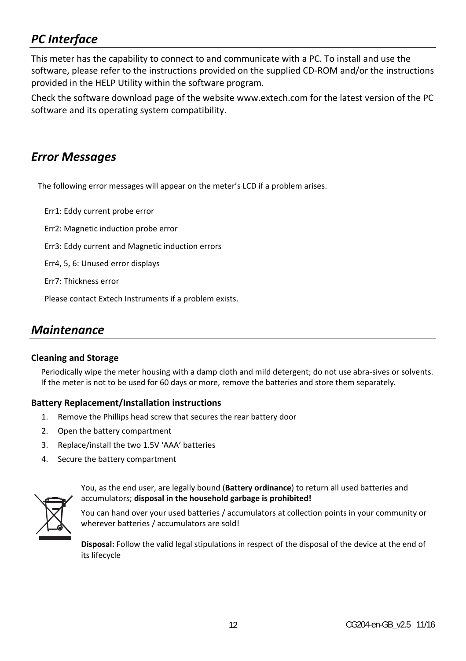# *PC Interface*

This meter has the capability to connect to and communicate with a PC. To install and use the software, please refer to the instructions provided on the supplied CD-ROM and/or the instructions provided in the HELP Utility within the software program.

Check the software download page of the website www.extech.com for the latest version of the PC software and its operating system compatibility.

# *Error Messages*

The following error messages will appear on the meter's LCD if a problem arises.

Err1: Eddy current probe error

Err2: Magnetic induction probe error

Err3: Eddy current and Magnetic induction errors

Err4, 5, 6: Unused error displays

Err7: Thickness error

Please contact Extech Instruments if a problem exists.

# *Maintenance*

#### **Cleaning and Storage**

Periodically wipe the meter housing with a damp cloth and mild detergent; do not use abra‐sives or solvents. If the meter is not to be used for 60 days or more, remove the batteries and store them separately.

#### **Battery Replacement/Installation instructions**

- 1. Remove the Phillips head screw that secures the rear battery door
- 2. Open the battery compartment
- 3. Replace/install the two 1.5V 'AAA' batteries
- 4. Secure the battery compartment



You, as the end user, are legally bound (**Battery ordinance**) to return all used batteries and accumulators; **disposal in the household garbage is prohibited!**

You can hand over your used batteries / accumulators at collection points in your community or wherever batteries / accumulators are sold!

**Disposal:** Follow the valid legal stipulations in respect of the disposal of the device at the end of its lifecycle